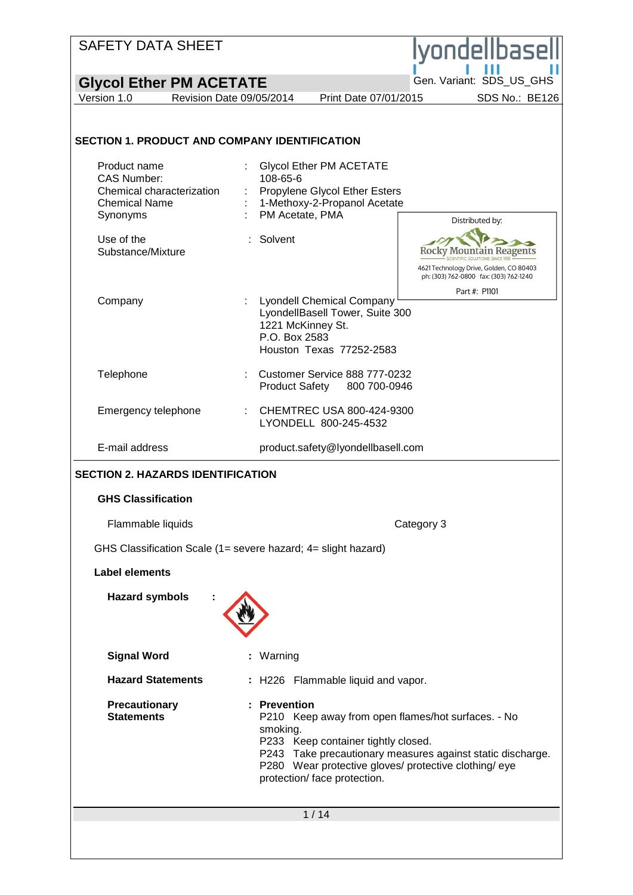| <b>SAFETY DATA SHEET</b><br><b>vondelibase</b><br>Gen. Variant: SDS_US_GHS<br><b>Glycol Ether PM ACETATE</b><br>Version 1.0<br>Revision Date 09/05/2014<br>Print Date 07/01/2015<br>SDS No.: BE126<br><b>SECTION 1. PRODUCT AND COMPANY IDENTIFICATION</b><br>Product name<br><b>Glycol Ether PM ACETATE</b><br><b>CAS Number:</b><br>108-65-6<br>Chemical characterization<br>Propylene Glycol Ether Esters<br>1-Methoxy-2-Propanol Acetate<br><b>Chemical Name</b><br>PM Acetate, PMA<br>Synonyms<br>Distributed by:<br>Use of the<br>Solvent<br>Substance/Mixture<br>Kocky Mountain<br>4621 Technology Drive, Golden, CO 80403<br>ph: (303) 762-0800 fax: (303) 762-1240<br>Part #: P1101<br><b>Lyondell Chemical Company</b><br>Company<br>LyondellBasell Tower, Suite 300<br>1221 McKinney St.<br>P.O. Box 2583<br>Houston Texas 77252-2583<br>Telephone<br>Customer Service 888 777-0232<br><b>Product Safety</b><br>800 700-0946<br>Emergency telephone<br>CHEMTREC USA 800-424-9300<br>LYONDELL 800-245-4532<br>E-mail address<br>product.safety@lyondellbasell.com<br><b>SECTION 2. HAZARDS IDENTIFICATION</b><br><b>GHS Classification</b><br>Flammable liquids<br>Category 3<br>GHS Classification Scale (1= severe hazard; 4= slight hazard)<br><b>Label elements</b><br><b>Hazard symbols</b><br><b>Signal Word</b><br>: Warning<br><b>Hazard Statements</b><br>: H226 Flammable liquid and vapor.<br>Precautionary<br>: Prevention<br><b>Statements</b><br>P210 Keep away from open flames/hot surfaces. - No<br>smoking.<br>P233 Keep container tightly closed.<br>P243 Take precautionary measures against static discharge.<br>P280 Wear protective gloves/ protective clothing/ eye<br>protection/ face protection. |  |  |
|---------------------------------------------------------------------------------------------------------------------------------------------------------------------------------------------------------------------------------------------------------------------------------------------------------------------------------------------------------------------------------------------------------------------------------------------------------------------------------------------------------------------------------------------------------------------------------------------------------------------------------------------------------------------------------------------------------------------------------------------------------------------------------------------------------------------------------------------------------------------------------------------------------------------------------------------------------------------------------------------------------------------------------------------------------------------------------------------------------------------------------------------------------------------------------------------------------------------------------------------------------------------------------------------------------------------------------------------------------------------------------------------------------------------------------------------------------------------------------------------------------------------------------------------------------------------------------------------------------------------------------------------------------------------------------------------------------------------------------------|--|--|
|                                                                                                                                                                                                                                                                                                                                                                                                                                                                                                                                                                                                                                                                                                                                                                                                                                                                                                                                                                                                                                                                                                                                                                                                                                                                                                                                                                                                                                                                                                                                                                                                                                                                                                                                       |  |  |
|                                                                                                                                                                                                                                                                                                                                                                                                                                                                                                                                                                                                                                                                                                                                                                                                                                                                                                                                                                                                                                                                                                                                                                                                                                                                                                                                                                                                                                                                                                                                                                                                                                                                                                                                       |  |  |
|                                                                                                                                                                                                                                                                                                                                                                                                                                                                                                                                                                                                                                                                                                                                                                                                                                                                                                                                                                                                                                                                                                                                                                                                                                                                                                                                                                                                                                                                                                                                                                                                                                                                                                                                       |  |  |
|                                                                                                                                                                                                                                                                                                                                                                                                                                                                                                                                                                                                                                                                                                                                                                                                                                                                                                                                                                                                                                                                                                                                                                                                                                                                                                                                                                                                                                                                                                                                                                                                                                                                                                                                       |  |  |
|                                                                                                                                                                                                                                                                                                                                                                                                                                                                                                                                                                                                                                                                                                                                                                                                                                                                                                                                                                                                                                                                                                                                                                                                                                                                                                                                                                                                                                                                                                                                                                                                                                                                                                                                       |  |  |
|                                                                                                                                                                                                                                                                                                                                                                                                                                                                                                                                                                                                                                                                                                                                                                                                                                                                                                                                                                                                                                                                                                                                                                                                                                                                                                                                                                                                                                                                                                                                                                                                                                                                                                                                       |  |  |
|                                                                                                                                                                                                                                                                                                                                                                                                                                                                                                                                                                                                                                                                                                                                                                                                                                                                                                                                                                                                                                                                                                                                                                                                                                                                                                                                                                                                                                                                                                                                                                                                                                                                                                                                       |  |  |
|                                                                                                                                                                                                                                                                                                                                                                                                                                                                                                                                                                                                                                                                                                                                                                                                                                                                                                                                                                                                                                                                                                                                                                                                                                                                                                                                                                                                                                                                                                                                                                                                                                                                                                                                       |  |  |
|                                                                                                                                                                                                                                                                                                                                                                                                                                                                                                                                                                                                                                                                                                                                                                                                                                                                                                                                                                                                                                                                                                                                                                                                                                                                                                                                                                                                                                                                                                                                                                                                                                                                                                                                       |  |  |
|                                                                                                                                                                                                                                                                                                                                                                                                                                                                                                                                                                                                                                                                                                                                                                                                                                                                                                                                                                                                                                                                                                                                                                                                                                                                                                                                                                                                                                                                                                                                                                                                                                                                                                                                       |  |  |
|                                                                                                                                                                                                                                                                                                                                                                                                                                                                                                                                                                                                                                                                                                                                                                                                                                                                                                                                                                                                                                                                                                                                                                                                                                                                                                                                                                                                                                                                                                                                                                                                                                                                                                                                       |  |  |
|                                                                                                                                                                                                                                                                                                                                                                                                                                                                                                                                                                                                                                                                                                                                                                                                                                                                                                                                                                                                                                                                                                                                                                                                                                                                                                                                                                                                                                                                                                                                                                                                                                                                                                                                       |  |  |
|                                                                                                                                                                                                                                                                                                                                                                                                                                                                                                                                                                                                                                                                                                                                                                                                                                                                                                                                                                                                                                                                                                                                                                                                                                                                                                                                                                                                                                                                                                                                                                                                                                                                                                                                       |  |  |
|                                                                                                                                                                                                                                                                                                                                                                                                                                                                                                                                                                                                                                                                                                                                                                                                                                                                                                                                                                                                                                                                                                                                                                                                                                                                                                                                                                                                                                                                                                                                                                                                                                                                                                                                       |  |  |
|                                                                                                                                                                                                                                                                                                                                                                                                                                                                                                                                                                                                                                                                                                                                                                                                                                                                                                                                                                                                                                                                                                                                                                                                                                                                                                                                                                                                                                                                                                                                                                                                                                                                                                                                       |  |  |
|                                                                                                                                                                                                                                                                                                                                                                                                                                                                                                                                                                                                                                                                                                                                                                                                                                                                                                                                                                                                                                                                                                                                                                                                                                                                                                                                                                                                                                                                                                                                                                                                                                                                                                                                       |  |  |
|                                                                                                                                                                                                                                                                                                                                                                                                                                                                                                                                                                                                                                                                                                                                                                                                                                                                                                                                                                                                                                                                                                                                                                                                                                                                                                                                                                                                                                                                                                                                                                                                                                                                                                                                       |  |  |
|                                                                                                                                                                                                                                                                                                                                                                                                                                                                                                                                                                                                                                                                                                                                                                                                                                                                                                                                                                                                                                                                                                                                                                                                                                                                                                                                                                                                                                                                                                                                                                                                                                                                                                                                       |  |  |
| 1/14                                                                                                                                                                                                                                                                                                                                                                                                                                                                                                                                                                                                                                                                                                                                                                                                                                                                                                                                                                                                                                                                                                                                                                                                                                                                                                                                                                                                                                                                                                                                                                                                                                                                                                                                  |  |  |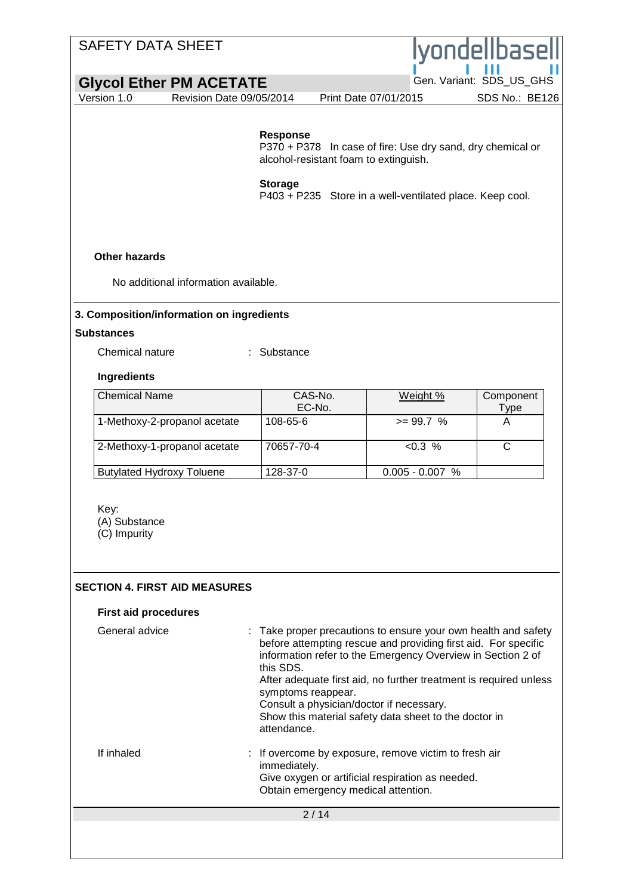## SAFETY DATA SHEET lvondellbase **Glycol Ether PM ACETATE**<br>Version 1.0 Revision Date 09/05/2014 Print Date 07/01/2015 SDS No.: BE126 Revision Date 09/05/2014 **Response** P370 + P378 In case of fire: Use dry sand, dry chemical or alcohol-resistant foam to extinguish. **Storage** P403 + P235 Store in a well-ventilated place. Keep cool. **Other hazards** No additional information available. **3. Composition/information on ingredients Substances** Chemical nature : Substance **Ingredients** Chemical Name CAS-No. Weight % Component EC-No. Type 1-Methoxy-2-propanol acetate  $|108-65-6$   $|308-65-6$   $|408-65-6$   $|508-65-65-1|$ 2-Methoxy-1-propanol acetate 70657-70-4 <0.3 % C Butylated Hydroxy Toluene 128-37-0 0.005 - 0.007 % Key: (A) Substance (C) Impurity **SECTION 4. FIRST AID MEASURES First aid procedures** General advice : Take proper precautions to ensure your own health and safety before attempting rescue and providing first aid. For specific information refer to the Emergency Overview in Section 2 of this SDS. After adequate first aid, no further treatment is required unless symptoms reappear. Consult a physician/doctor if necessary. Show this material safety data sheet to the doctor in attendance. If inhaled : If overcome by exposure, remove victim to fresh air immediately. Give oxygen or artificial respiration as needed. Obtain emergency medical attention. $2/14$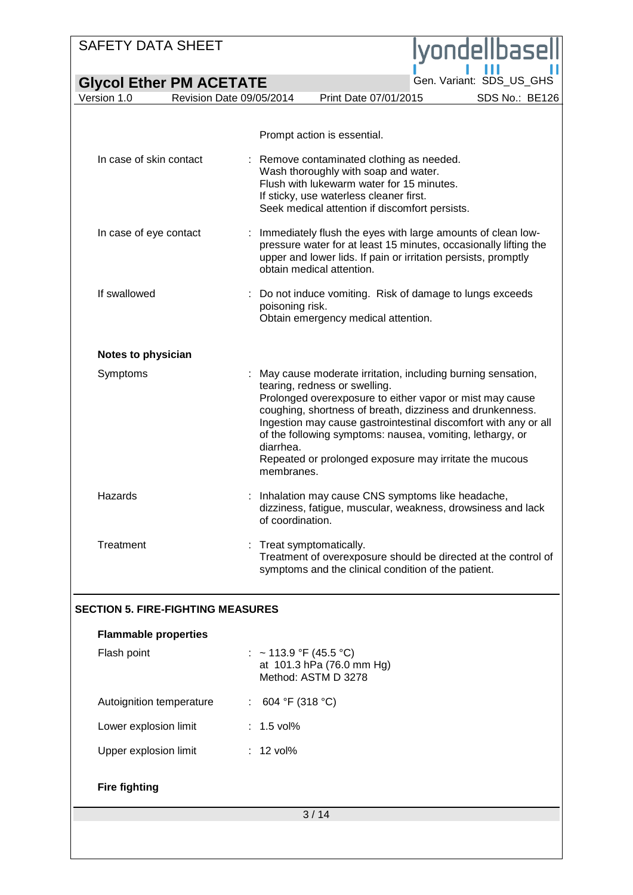## SAFETY DATA SHEET ondellbas **Glycol Ether PM ACETATE**<br>Version 1.0 Revision Date 09/05/2014 Print Date 07/01/2015 SDS No.: BE126 Revision Date 09/05/2014 Prompt action is essential. In case of skin contact : Remove contaminated clothing as needed. Wash thoroughly with soap and water. Flush with lukewarm water for 15 minutes. If sticky, use waterless cleaner first. Seek medical attention if discomfort persists. In case of eye contact : Immediately flush the eyes with large amounts of clean lowpressure water for at least 15 minutes, occasionally lifting the upper and lower lids. If pain or irritation persists, promptly obtain medical attention. If swallowed : Do not induce vomiting. Risk of damage to lungs exceeds poisoning risk. Obtain emergency medical attention. **Notes to physician** Symptoms : May cause moderate irritation, including burning sensation, tearing, redness or swelling. Prolonged overexposure to either vapor or mist may cause coughing, shortness of breath, dizziness and drunkenness. Ingestion may cause gastrointestinal discomfort with any or all of the following symptoms: nausea, vomiting, lethargy, or diarrhea. Repeated or prolonged exposure may irritate the mucous membranes. Hazards : Inhalation may cause CNS symptoms like headache, dizziness, fatigue, muscular, weakness, drowsiness and lack of coordination. Treatment : Treat symptomatically. Treatment of overexposure should be directed at the control of symptoms and the clinical condition of the patient. **SECTION 5. FIRE-FIGHTING MEASURES Flammable properties** Flash point :  $\sim 113.9 \, \text{°F}$  (45.5 °C) at 101.3 hPa (76.0 mm Hg) Method: ASTM D 3278 Autoignition temperature : 604 °F (318 °C) Lower explosion limit : 1.5 vol% Upper explosion limit : 12 vol% **Fire fighting**3 / 14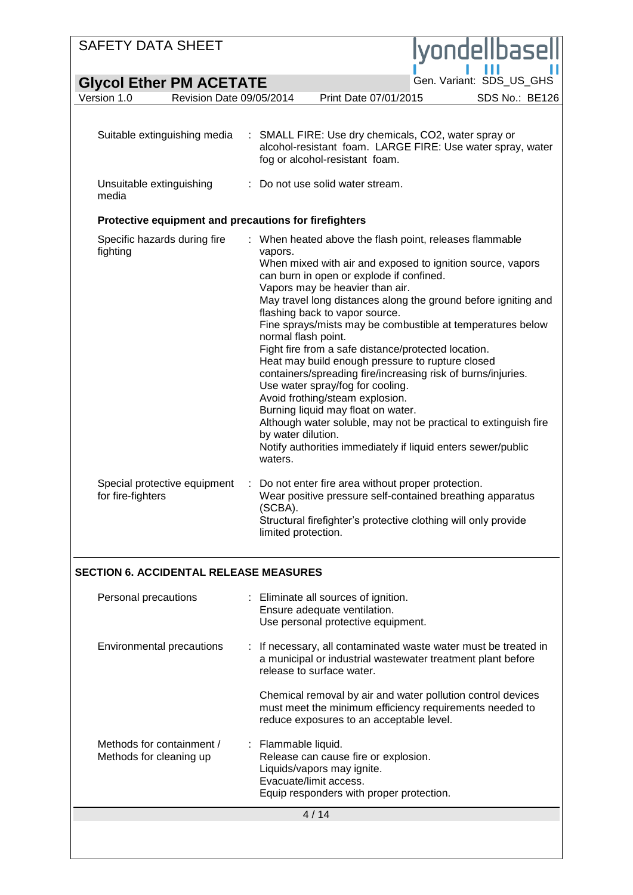| <b>SAFETY DATA SHEET</b>                              |                                                                                                                                                                                                                                                                                                                                                                                                          | lyondellbasell                                                                                                                                                                                                                                                                                                                                                                                                                                           |
|-------------------------------------------------------|----------------------------------------------------------------------------------------------------------------------------------------------------------------------------------------------------------------------------------------------------------------------------------------------------------------------------------------------------------------------------------------------------------|----------------------------------------------------------------------------------------------------------------------------------------------------------------------------------------------------------------------------------------------------------------------------------------------------------------------------------------------------------------------------------------------------------------------------------------------------------|
| <b>Glycol Ether PM ACETATE</b>                        |                                                                                                                                                                                                                                                                                                                                                                                                          | Gen. Variant: SDS_US_GHS                                                                                                                                                                                                                                                                                                                                                                                                                                 |
| Version 1.0<br>Revision Date 09/05/2014               | Print Date 07/01/2015                                                                                                                                                                                                                                                                                                                                                                                    | SDS No.: BE126                                                                                                                                                                                                                                                                                                                                                                                                                                           |
|                                                       |                                                                                                                                                                                                                                                                                                                                                                                                          |                                                                                                                                                                                                                                                                                                                                                                                                                                                          |
| Suitable extinguishing media                          | fog or alcohol-resistant foam.                                                                                                                                                                                                                                                                                                                                                                           | : SMALL FIRE: Use dry chemicals, CO2, water spray or<br>alcohol-resistant foam. LARGE FIRE: Use water spray, water                                                                                                                                                                                                                                                                                                                                       |
| Unsuitable extinguishing<br>media                     | Do not use solid water stream.                                                                                                                                                                                                                                                                                                                                                                           |                                                                                                                                                                                                                                                                                                                                                                                                                                                          |
| Protective equipment and precautions for firefighters |                                                                                                                                                                                                                                                                                                                                                                                                          |                                                                                                                                                                                                                                                                                                                                                                                                                                                          |
| Specific hazards during fire<br>fighting              | vapors.<br>can burn in open or explode if confined.<br>Vapors may be heavier than air.<br>flashing back to vapor source.<br>normal flash point.<br>Fight fire from a safe distance/protected location.<br>Heat may build enough pressure to rupture closed<br>Use water spray/fog for cooling.<br>Avoid frothing/steam explosion.<br>Burning liquid may float on water.<br>by water dilution.<br>waters. | : When heated above the flash point, releases flammable<br>When mixed with air and exposed to ignition source, vapors<br>May travel long distances along the ground before igniting and<br>Fine sprays/mists may be combustible at temperatures below<br>containers/spreading fire/increasing risk of burns/injuries.<br>Although water soluble, may not be practical to extinguish fire<br>Notify authorities immediately if liquid enters sewer/public |
| Special protective equipment<br>for fire-fighters     | Do not enter fire area without proper protection.<br>÷<br>(SCBA).<br>limited protection.                                                                                                                                                                                                                                                                                                                 | Wear positive pressure self-contained breathing apparatus<br>Structural firefighter's protective clothing will only provide                                                                                                                                                                                                                                                                                                                              |
| <b>SECTION 6. ACCIDENTAL RELEASE MEASURES</b>         |                                                                                                                                                                                                                                                                                                                                                                                                          |                                                                                                                                                                                                                                                                                                                                                                                                                                                          |
| Personal precautions                                  | : Eliminate all sources of ignition.<br>Ensure adequate ventilation.<br>Use personal protective equipment.                                                                                                                                                                                                                                                                                               |                                                                                                                                                                                                                                                                                                                                                                                                                                                          |
| Environmental precautions                             | release to surface water.                                                                                                                                                                                                                                                                                                                                                                                | If necessary, all contaminated waste water must be treated in<br>a municipal or industrial wastewater treatment plant before                                                                                                                                                                                                                                                                                                                             |
|                                                       | reduce exposures to an acceptable level.                                                                                                                                                                                                                                                                                                                                                                 | Chemical removal by air and water pollution control devices<br>must meet the minimum efficiency requirements needed to                                                                                                                                                                                                                                                                                                                                   |
| Methods for containment /<br>Methods for cleaning up  | : Flammable liquid.<br>Release can cause fire or explosion.<br>Liquids/vapors may ignite.<br>Evacuate/limit access.<br>Equip responders with proper protection.                                                                                                                                                                                                                                          |                                                                                                                                                                                                                                                                                                                                                                                                                                                          |
|                                                       | 4/14                                                                                                                                                                                                                                                                                                                                                                                                     |                                                                                                                                                                                                                                                                                                                                                                                                                                                          |
|                                                       |                                                                                                                                                                                                                                                                                                                                                                                                          |                                                                                                                                                                                                                                                                                                                                                                                                                                                          |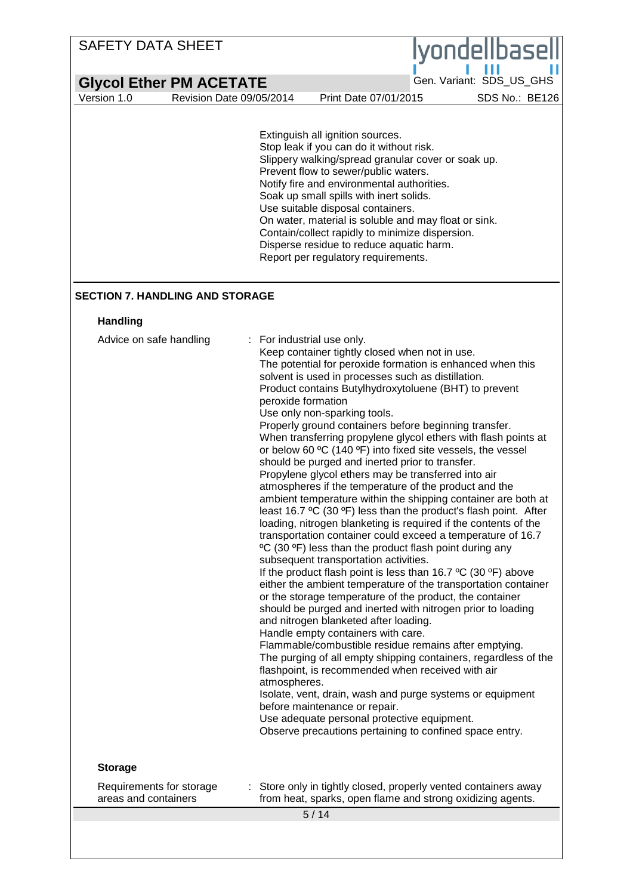| <b>SAFETY DATA SHEET</b>                         |                                                                                                                                   |                                                                                                                                                                                                                                                                                                                                                                                                                                                                                                                                                                                                                                                                                                                                                                                                                                                                                                                                                                                                                                                                                                                                                                                                                                                                                                                                                                                                                                                                                                                                                                                                                   | lyondellbasel                                                                                                                     |
|--------------------------------------------------|-----------------------------------------------------------------------------------------------------------------------------------|-------------------------------------------------------------------------------------------------------------------------------------------------------------------------------------------------------------------------------------------------------------------------------------------------------------------------------------------------------------------------------------------------------------------------------------------------------------------------------------------------------------------------------------------------------------------------------------------------------------------------------------------------------------------------------------------------------------------------------------------------------------------------------------------------------------------------------------------------------------------------------------------------------------------------------------------------------------------------------------------------------------------------------------------------------------------------------------------------------------------------------------------------------------------------------------------------------------------------------------------------------------------------------------------------------------------------------------------------------------------------------------------------------------------------------------------------------------------------------------------------------------------------------------------------------------------------------------------------------------------|-----------------------------------------------------------------------------------------------------------------------------------|
|                                                  |                                                                                                                                   |                                                                                                                                                                                                                                                                                                                                                                                                                                                                                                                                                                                                                                                                                                                                                                                                                                                                                                                                                                                                                                                                                                                                                                                                                                                                                                                                                                                                                                                                                                                                                                                                                   | Gen. Variant: SDS_US_GHS                                                                                                          |
| <b>Glycol Ether PM ACETATE</b>                   |                                                                                                                                   |                                                                                                                                                                                                                                                                                                                                                                                                                                                                                                                                                                                                                                                                                                                                                                                                                                                                                                                                                                                                                                                                                                                                                                                                                                                                                                                                                                                                                                                                                                                                                                                                                   |                                                                                                                                   |
| Version 1.0<br>Revision Date 09/05/2014          | Extinguish all ignition sources.                                                                                                  | Print Date 07/01/2015<br>Stop leak if you can do it without risk.<br>Slippery walking/spread granular cover or soak up.<br>Prevent flow to sewer/public waters.<br>Notify fire and environmental authorities.<br>Soak up small spills with inert solids.<br>Use suitable disposal containers.<br>On water, material is soluble and may float or sink.<br>Contain/collect rapidly to minimize dispersion.<br>Disperse residue to reduce aquatic harm.<br>Report per regulatory requirements.                                                                                                                                                                                                                                                                                                                                                                                                                                                                                                                                                                                                                                                                                                                                                                                                                                                                                                                                                                                                                                                                                                                       | SDS No.: BE126                                                                                                                    |
| <b>SECTION 7. HANDLING AND STORAGE</b>           |                                                                                                                                   |                                                                                                                                                                                                                                                                                                                                                                                                                                                                                                                                                                                                                                                                                                                                                                                                                                                                                                                                                                                                                                                                                                                                                                                                                                                                                                                                                                                                                                                                                                                                                                                                                   |                                                                                                                                   |
| <b>Handling</b>                                  |                                                                                                                                   |                                                                                                                                                                                                                                                                                                                                                                                                                                                                                                                                                                                                                                                                                                                                                                                                                                                                                                                                                                                                                                                                                                                                                                                                                                                                                                                                                                                                                                                                                                                                                                                                                   |                                                                                                                                   |
| Advice on safe handling                          | : For industrial use only.<br>peroxide formation<br>Use only non-sparking tools.<br>atmospheres.<br>before maintenance or repair. | Keep container tightly closed when not in use.<br>The potential for peroxide formation is enhanced when this<br>solvent is used in processes such as distillation.<br>Product contains Butylhydroxytoluene (BHT) to prevent<br>Properly ground containers before beginning transfer.<br>When transferring propylene glycol ethers with flash points at<br>or below 60 °C (140 °F) into fixed site vessels, the vessel<br>should be purged and inerted prior to transfer.<br>Propylene glycol ethers may be transferred into air<br>atmospheres if the temperature of the product and the<br>ambient temperature within the shipping container are both at<br>least 16.7 $\mathrm{^{\circ}C}$ (30 $\mathrm{^{\circ}F}$ ) less than the product's flash point. After<br>loading, nitrogen blanketing is required if the contents of the<br>transportation container could exceed a temperature of 16.7<br><sup>o</sup> C (30 <sup>o</sup> F) less than the product flash point during any<br>subsequent transportation activities.<br>If the product flash point is less than 16.7 $\rm{^oC}$ (30 $\rm{^oF}$ ) above<br>or the storage temperature of the product, the container<br>should be purged and inerted with nitrogen prior to loading<br>and nitrogen blanketed after loading.<br>Handle empty containers with care.<br>Flammable/combustible residue remains after emptying.<br>flashpoint, is recommended when received with air<br>Isolate, vent, drain, wash and purge systems or equipment<br>Use adequate personal protective equipment.<br>Observe precautions pertaining to confined space entry. | either the ambient temperature of the transportation container<br>The purging of all empty shipping containers, regardless of the |
| <b>Storage</b>                                   |                                                                                                                                   |                                                                                                                                                                                                                                                                                                                                                                                                                                                                                                                                                                                                                                                                                                                                                                                                                                                                                                                                                                                                                                                                                                                                                                                                                                                                                                                                                                                                                                                                                                                                                                                                                   |                                                                                                                                   |
| Requirements for storage<br>areas and containers |                                                                                                                                   | Store only in tightly closed, properly vented containers away<br>from heat, sparks, open flame and strong oxidizing agents.                                                                                                                                                                                                                                                                                                                                                                                                                                                                                                                                                                                                                                                                                                                                                                                                                                                                                                                                                                                                                                                                                                                                                                                                                                                                                                                                                                                                                                                                                       |                                                                                                                                   |
|                                                  | 5/14                                                                                                                              |                                                                                                                                                                                                                                                                                                                                                                                                                                                                                                                                                                                                                                                                                                                                                                                                                                                                                                                                                                                                                                                                                                                                                                                                                                                                                                                                                                                                                                                                                                                                                                                                                   |                                                                                                                                   |
|                                                  |                                                                                                                                   |                                                                                                                                                                                                                                                                                                                                                                                                                                                                                                                                                                                                                                                                                                                                                                                                                                                                                                                                                                                                                                                                                                                                                                                                                                                                                                                                                                                                                                                                                                                                                                                                                   |                                                                                                                                   |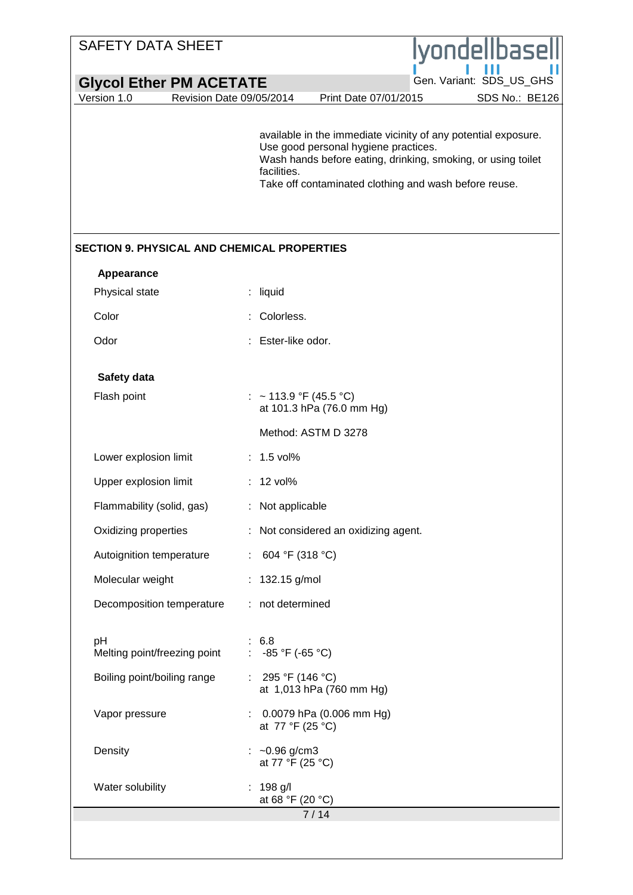| <b>SAFETY DATA SHEET</b>                           | lyondellbasell                                                                                                                                                                                                                                 |
|----------------------------------------------------|------------------------------------------------------------------------------------------------------------------------------------------------------------------------------------------------------------------------------------------------|
| <b>Glycol Ether PM ACETATE</b>                     | Gen. Variant: SDS_US_GHS                                                                                                                                                                                                                       |
| Version 1.0                                        | SDS No.: BE126<br>Revision Date 09/05/2014<br>Print Date 07/01/2015                                                                                                                                                                            |
|                                                    | available in the immediate vicinity of any potential exposure.<br>Use good personal hygiene practices.<br>Wash hands before eating, drinking, smoking, or using toilet<br>facilities.<br>Take off contaminated clothing and wash before reuse. |
| <b>SECTION 9. PHYSICAL AND CHEMICAL PROPERTIES</b> |                                                                                                                                                                                                                                                |
| Appearance                                         |                                                                                                                                                                                                                                                |
| Physical state                                     | : liquid                                                                                                                                                                                                                                       |
| Color                                              | Colorless.                                                                                                                                                                                                                                     |
| Odor                                               | Ester-like odor.                                                                                                                                                                                                                               |
| Safety data                                        |                                                                                                                                                                                                                                                |
| Flash point                                        | : ~113.9 °F (45.5 °C)<br>at 101.3 hPa (76.0 mm Hg)                                                                                                                                                                                             |
|                                                    | Method: ASTM D 3278                                                                                                                                                                                                                            |
| Lower explosion limit                              | $: 1.5$ vol%                                                                                                                                                                                                                                   |
| Upper explosion limit                              | $: 12$ vol%                                                                                                                                                                                                                                    |
| Flammability (solid, gas)                          | : Not applicable                                                                                                                                                                                                                               |
| Oxidizing properties                               | : Not considered an oxidizing agent.                                                                                                                                                                                                           |
| Autoignition temperature                           | : 604 °F (318 °C)                                                                                                                                                                                                                              |
| Molecular weight                                   | : $132.15$ g/mol                                                                                                                                                                                                                               |
| Decomposition temperature                          | : not determined                                                                                                                                                                                                                               |
| pH<br>Melting point/freezing point                 | : 6.8<br>: $-85 \text{ °F}$ ( $-65 \text{ °C}$ )                                                                                                                                                                                               |
| Boiling point/boiling range                        | : $295 °F (146 °C)$<br>at 1,013 hPa (760 mm Hg)                                                                                                                                                                                                |
| Vapor pressure                                     | $\therefore$ 0.0079 hPa (0.006 mm Hg)<br>at 77 °F (25 °C)                                                                                                                                                                                      |
| Density                                            | : $\sim 0.96$ g/cm3<br>at 77 °F (25 °C)                                                                                                                                                                                                        |
| Water solubility                                   | : $198$ g/l<br>at 68 °F (20 °C)<br>7/14                                                                                                                                                                                                        |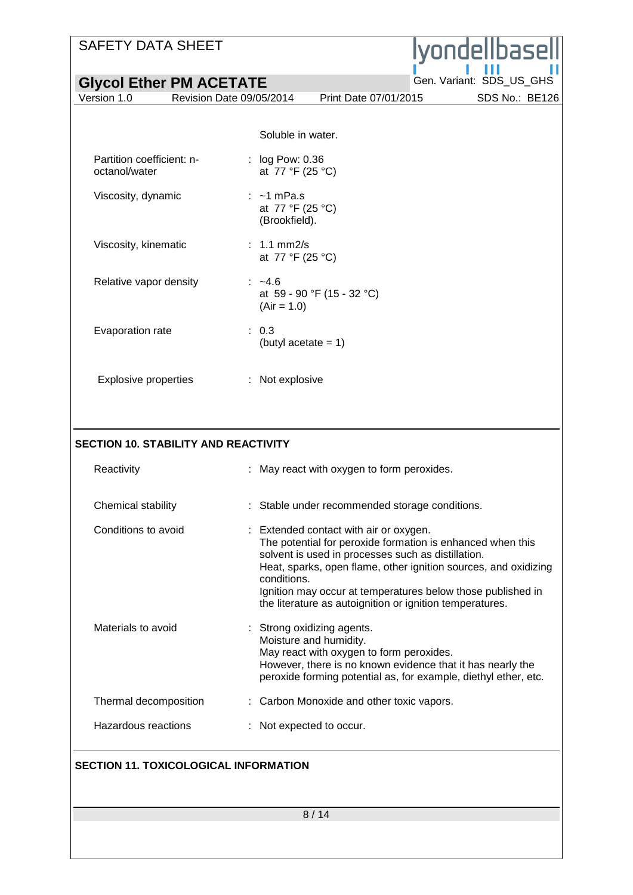## SAFETY DATA SHEET

| <b>SAFETY DATA SHEET</b>                    | ndellbasell                                                                                                                                                                                                                                                                                                                                                             |
|---------------------------------------------|-------------------------------------------------------------------------------------------------------------------------------------------------------------------------------------------------------------------------------------------------------------------------------------------------------------------------------------------------------------------------|
| <b>Glycol Ether PM ACETATE</b>              | Gen. Variant: SDS_US_GHS                                                                                                                                                                                                                                                                                                                                                |
| Version 1.0<br>Revision Date 09/05/2014     | SDS No.: BE126<br>Print Date 07/01/2015                                                                                                                                                                                                                                                                                                                                 |
|                                             |                                                                                                                                                                                                                                                                                                                                                                         |
|                                             | Soluble in water.                                                                                                                                                                                                                                                                                                                                                       |
| Partition coefficient: n-<br>octanol/water  | : log Pow: 0.36<br>at 77 °F (25 °C)                                                                                                                                                                                                                                                                                                                                     |
| Viscosity, dynamic                          | $: -1$ mPa.s<br>at 77 °F (25 °C)<br>(Brookfield).                                                                                                                                                                                                                                                                                                                       |
| Viscosity, kinematic                        | $: 1.1$ mm2/s<br>at 77 °F (25 °C)                                                                                                                                                                                                                                                                                                                                       |
| Relative vapor density                      | $: -4.6$<br>at 59 - 90 °F (15 - 32 °C)<br>$(Air = 1.0)$                                                                                                                                                                                                                                                                                                                 |
| Evaporation rate                            | : 0.3<br>(butyl acetate $= 1$ )                                                                                                                                                                                                                                                                                                                                         |
| <b>Explosive properties</b>                 | : Not explosive                                                                                                                                                                                                                                                                                                                                                         |
| <b>SECTION 10. STABILITY AND REACTIVITY</b> |                                                                                                                                                                                                                                                                                                                                                                         |
| Reactivity                                  | May react with oxygen to form peroxides.                                                                                                                                                                                                                                                                                                                                |
| Chemical stability                          | : Stable under recommended storage conditions.                                                                                                                                                                                                                                                                                                                          |
| Conditions to avoid                         | : Extended contact with air or oxygen.<br>The potential for peroxide formation is enhanced when this<br>solvent is used in processes such as distillation.<br>Heat, sparks, open flame, other ignition sources, and oxidizing<br>conditions.<br>Ignition may occur at temperatures below those published in<br>the literature as autoignition or ignition temperatures. |
| Materials to avoid                          | Strong oxidizing agents.<br>Moisture and humidity.<br>May react with oxygen to form peroxides.<br>However, there is no known evidence that it has nearly the<br>peroxide forming potential as, for example, diethyl ether, etc.                                                                                                                                         |
| Thermal decomposition                       | Carbon Monoxide and other toxic vapors.                                                                                                                                                                                                                                                                                                                                 |
| Hazardous reactions                         | Not expected to occur.                                                                                                                                                                                                                                                                                                                                                  |

## **SECTION 11. TOXICOLOGICAL INFORMATION**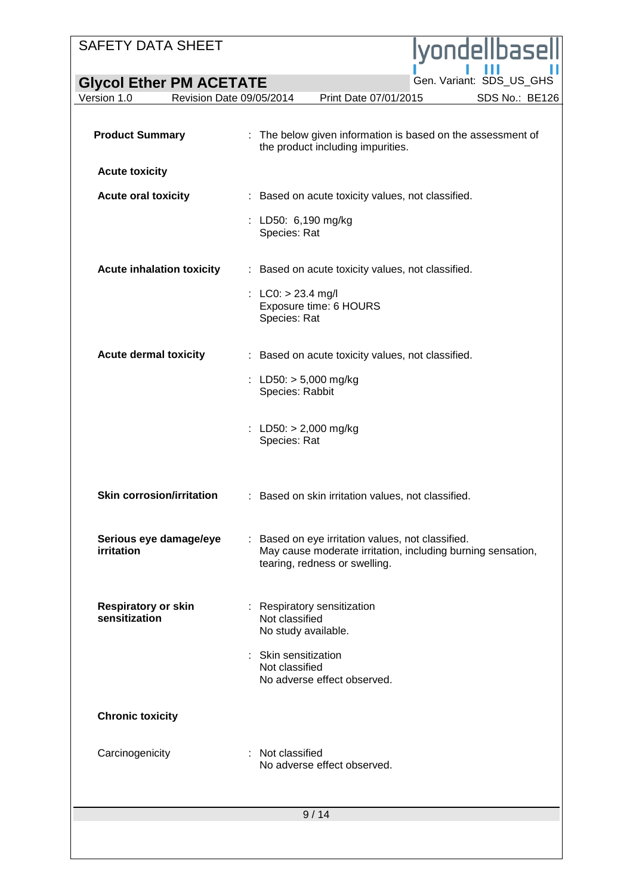## SAFETY DATA SHEET ondellbas' **Glycol Ether PM ACETATE**<br>Version 1.0 Revision Date 09/05/2014 Print Date 07/01/2015 SDS No.: BE126 Revision Date 09/05/2014 **Product Summary** : The below given information is based on the assessment of the product including impurities. **Acute toxicity Acute oral toxicity** : Based on acute toxicity values, not classified. : LD50: 6,190 mg/kg Species: Rat **Acute inhalation toxicity** : Based on acute toxicity values, not classified. :  $LCO:$  > 23.4 mg/l Exposure time: 6 HOURS Species: Rat **Acute dermal toxicity** : Based on acute toxicity values, not classified. : LD50: > 5,000 mg/kg Species: Rabbit : LD50: > 2,000 mg/kg Species: Rat **Skin corrosion/irritation** : Based on skin irritation values, not classified. **Serious eye damage/eye**  : Based on eye irritation values, not classified. **irritation** May cause moderate irritation, including burning sensation, tearing, redness or swelling. **Respiratory or skin**  : Respiratory sensitization **sensitization** Not classified No study available. : Skin sensitization Not classified No adverse effect observed. **Chronic toxicity**

Carcinogenicity : Not classified No adverse effect observed.

9 / 14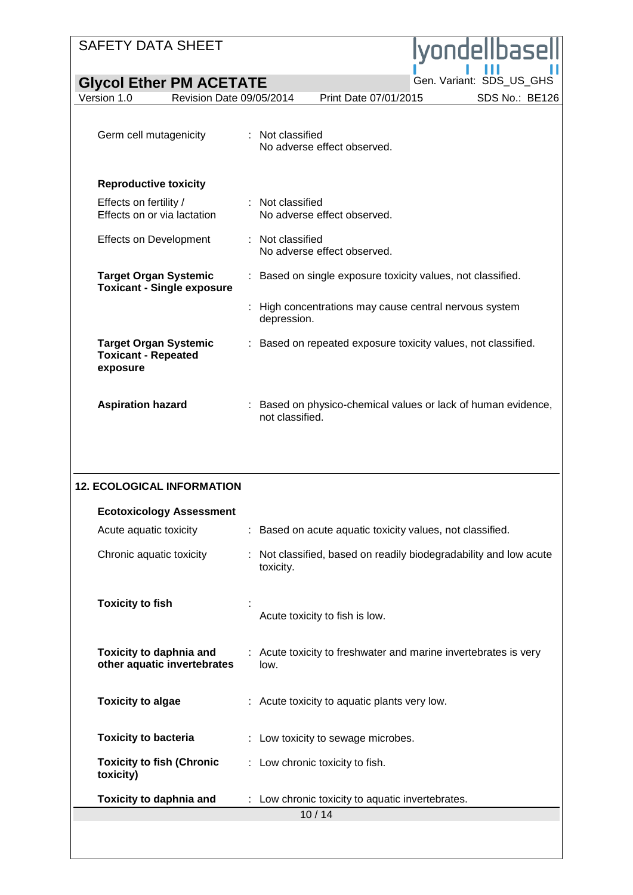| <b>SAFETY DATA SHEET</b>                                               | Iyondellbasell                                                                   |
|------------------------------------------------------------------------|----------------------------------------------------------------------------------|
| <b>Glycol Ether PM ACETATE</b>                                         | Gen. Variant: SDS_US_GHS                                                         |
| Version 1.0<br>Revision Date 09/05/2014                                | Print Date 07/01/2015<br>SDS No.: BE126                                          |
| Germ cell mutagenicity                                                 | : Not classified<br>No adverse effect observed.                                  |
| <b>Reproductive toxicity</b>                                           |                                                                                  |
| Effects on fertility /<br>Effects on or via lactation                  | : Not classified<br>No adverse effect observed.                                  |
| <b>Effects on Development</b>                                          | : Not classified<br>No adverse effect observed.                                  |
| <b>Target Organ Systemic</b><br><b>Toxicant - Single exposure</b>      | Based on single exposure toxicity values, not classified.<br>÷.                  |
|                                                                        | High concentrations may cause central nervous system<br>depression.              |
| <b>Target Organ Systemic</b><br><b>Toxicant - Repeated</b><br>exposure | Based on repeated exposure toxicity values, not classified.                      |
| <b>Aspiration hazard</b>                                               | : Based on physico-chemical values or lack of human evidence,<br>not classified. |
| <b>12. ECOLOGICAL INFORMATION</b>                                      |                                                                                  |
| <b>Ecotoxicology Assessment</b>                                        |                                                                                  |
| Acute aquatic toxicity                                                 | : Based on acute aquatic toxicity values, not classified.                        |
| Chronic aquatic toxicity                                               | Not classified, based on readily biodegradability and low acute<br>toxicity.     |
| <b>Toxicity to fish</b>                                                | Acute toxicity to fish is low.                                                   |
| <b>Toxicity to daphnia and</b><br>other aquatic invertebrates          | : Acute toxicity to freshwater and marine invertebrates is very<br>low.          |
| <b>Toxicity to algae</b>                                               | : Acute toxicity to aquatic plants very low.                                     |
| <b>Toxicity to bacteria</b>                                            | : Low toxicity to sewage microbes.                                               |
| <b>Toxicity to fish (Chronic</b><br>toxicity)                          | : Low chronic toxicity to fish.                                                  |
| <b>Toxicity to daphnia and</b>                                         | Low chronic toxicity to aquatic invertebrates.                                   |
|                                                                        | 10/14                                                                            |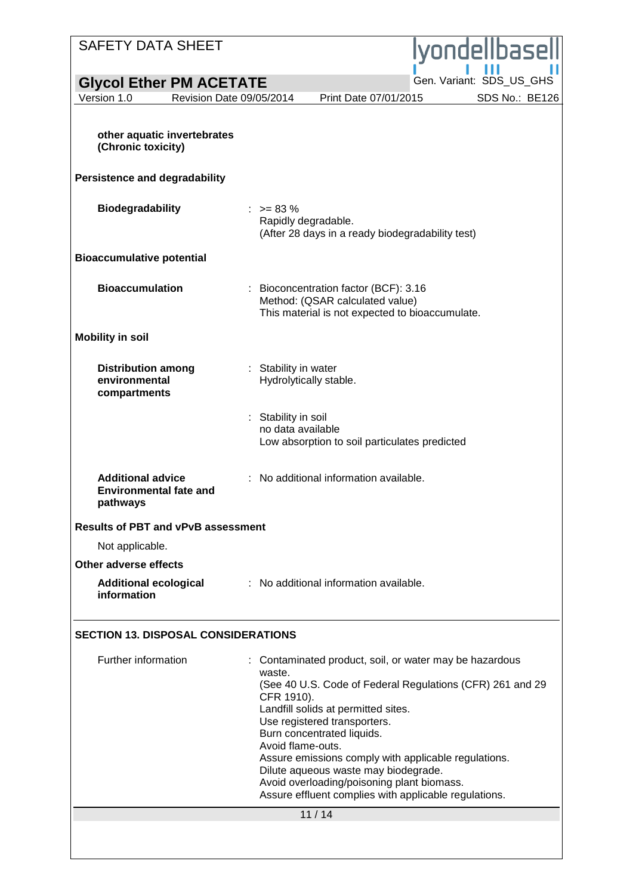| <b>SAFETY DATA SHEET</b>                                              |                                                                                                                                                                                                                                                                                                                                                                                                                                                                             |  |  |
|-----------------------------------------------------------------------|-----------------------------------------------------------------------------------------------------------------------------------------------------------------------------------------------------------------------------------------------------------------------------------------------------------------------------------------------------------------------------------------------------------------------------------------------------------------------------|--|--|
|                                                                       | lyondellbasell                                                                                                                                                                                                                                                                                                                                                                                                                                                              |  |  |
| <b>Glycol Ether PM ACETATE</b>                                        | Gen. Variant: SDS US GHS                                                                                                                                                                                                                                                                                                                                                                                                                                                    |  |  |
| Version 1.0                                                           | SDS No.: BE126<br>Revision Date 09/05/2014<br>Print Date 07/01/2015                                                                                                                                                                                                                                                                                                                                                                                                         |  |  |
| other aquatic invertebrates<br>(Chronic toxicity)                     |                                                                                                                                                                                                                                                                                                                                                                                                                                                                             |  |  |
| <b>Persistence and degradability</b>                                  |                                                                                                                                                                                                                                                                                                                                                                                                                                                                             |  |  |
| <b>Biodegradability</b>                                               | $: z = 83 \%$<br>Rapidly degradable.<br>(After 28 days in a ready biodegradability test)                                                                                                                                                                                                                                                                                                                                                                                    |  |  |
| <b>Bioaccumulative potential</b>                                      |                                                                                                                                                                                                                                                                                                                                                                                                                                                                             |  |  |
| <b>Bioaccumulation</b>                                                | Bioconcentration factor (BCF): 3.16<br>Method: (QSAR calculated value)<br>This material is not expected to bioaccumulate.                                                                                                                                                                                                                                                                                                                                                   |  |  |
| <b>Mobility in soil</b>                                               |                                                                                                                                                                                                                                                                                                                                                                                                                                                                             |  |  |
| <b>Distribution among</b><br>environmental<br>compartments            | : Stability in water<br>Hydrolytically stable.                                                                                                                                                                                                                                                                                                                                                                                                                              |  |  |
|                                                                       | Stability in soil<br>no data available<br>Low absorption to soil particulates predicted                                                                                                                                                                                                                                                                                                                                                                                     |  |  |
| <b>Additional advice</b><br><b>Environmental fate and</b><br>pathways | No additional information available.                                                                                                                                                                                                                                                                                                                                                                                                                                        |  |  |
| <b>Results of PBT and vPvB assessment</b>                             |                                                                                                                                                                                                                                                                                                                                                                                                                                                                             |  |  |
| Not applicable.                                                       |                                                                                                                                                                                                                                                                                                                                                                                                                                                                             |  |  |
| Other adverse effects                                                 |                                                                                                                                                                                                                                                                                                                                                                                                                                                                             |  |  |
| <b>Additional ecological</b><br>information                           | : No additional information available.                                                                                                                                                                                                                                                                                                                                                                                                                                      |  |  |
| <b>SECTION 13. DISPOSAL CONSIDERATIONS</b>                            |                                                                                                                                                                                                                                                                                                                                                                                                                                                                             |  |  |
| Further information                                                   | Contaminated product, soil, or water may be hazardous<br>waste.<br>(See 40 U.S. Code of Federal Regulations (CFR) 261 and 29<br>CFR 1910).<br>Landfill solids at permitted sites.<br>Use registered transporters.<br>Burn concentrated liquids.<br>Avoid flame-outs.<br>Assure emissions comply with applicable regulations.<br>Dilute aqueous waste may biodegrade.<br>Avoid overloading/poisoning plant biomass.<br>Assure effluent complies with applicable regulations. |  |  |
|                                                                       | 11/14                                                                                                                                                                                                                                                                                                                                                                                                                                                                       |  |  |
|                                                                       |                                                                                                                                                                                                                                                                                                                                                                                                                                                                             |  |  |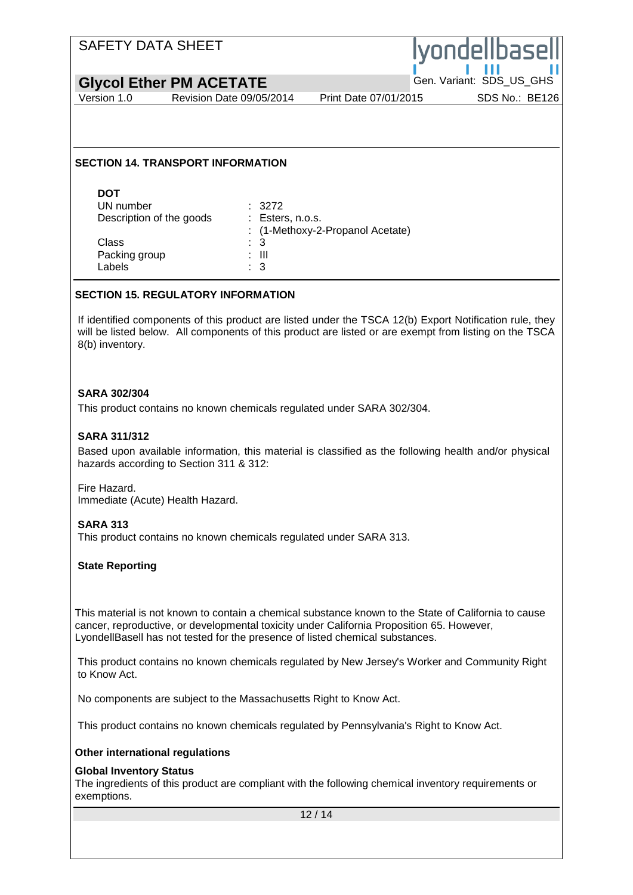## SAFETY DATA SHEET ondelibas **Glycol Ether PM ACETATE**<br>Version 1.0 Revision Date 09/05/2014 Print Date 07/01/2015 SDS No.: BE126 Revision Date 09/05/2014 **SECTION 14. TRANSPORT INFORMATION DOT** UN number : 3272 Description of the goods : Esters, n.o.s. : (1-Methoxy-2-Propanol Acetate) Class : 3<br>Packing group : 3<br>: III Packing group Labels : 3 **SECTION 15. REGULATORY INFORMATION** If identified components of this product are listed under the TSCA 12(b) Export Notification rule, they will be listed below. All components of this product are listed or are exempt from listing on the TSCA 8(b) inventory. **SARA 302/304** This product contains no known chemicals regulated under SARA 302/304. **SARA 311/312** Based upon available information, this material is classified as the following health and/or physical hazards according to Section 311 & 312: Fire Hazard. Immediate (Acute) Health Hazard. **SARA 313** This product contains no known chemicals regulated under SARA 313. **State Reporting** This material is not known to contain a chemical substance known to the State of California to cause cancer, reproductive, or developmental toxicity under California Proposition 65. However, LyondellBasell has not tested for the presence of listed chemical substances. This product contains no known chemicals regulated by New Jersey's Worker and Community Right to Know Act. No components are subject to the Massachusetts Right to Know Act. This product contains no known chemicals regulated by Pennsylvania's Right to Know Act. **Other international regulations Global Inventory Status** The ingredients of this product are compliant with the following chemical inventory requirements or exemptions.12 / 14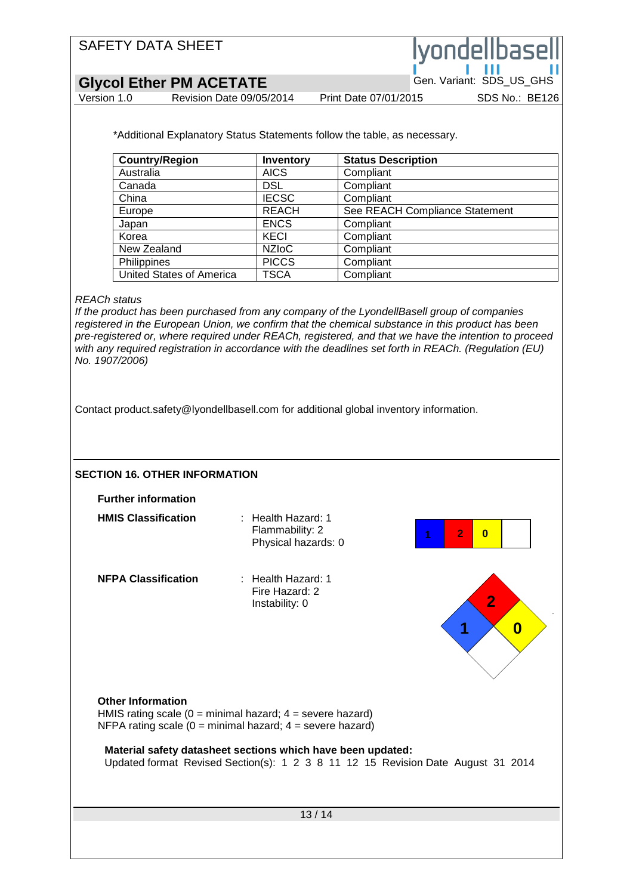**Glycol Ether PM ACETATE**<br>Version 1.0 Revision Date 09/05/2014 Print Date 07/01/2015 SDS No.: BE126

Revision Date 09/05/2014

ondelibas

\*Additional Explanatory Status Statements follow the table, as necessary.

| <b>Country/Region</b>           | <b>Inventory</b> | <b>Status Description</b>      |
|---------------------------------|------------------|--------------------------------|
| Australia                       | <b>AICS</b>      | Compliant                      |
| Canada                          | <b>DSL</b>       | Compliant                      |
| China                           | <b>IECSC</b>     | Compliant                      |
| Europe                          | <b>REACH</b>     | See REACH Compliance Statement |
| Japan                           | <b>ENCS</b>      | Compliant                      |
| Korea                           | KECI             | Compliant                      |
| New Zealand                     | <b>NZIOC</b>     | Compliant                      |
| Philippines                     | <b>PICCS</b>     | Compliant                      |
| <b>United States of America</b> | TSCA             | Compliant                      |

#### *REACh status*

*If the product has been purchased from any company of the LyondellBasell group of companies registered in the European Union, we confirm that the chemical substance in this product has been pre-registered or, where required under REACh, registered, and that we have the intention to proceed with any required registration in accordance with the deadlines set forth in REACh. (Regulation (EU) No. 1907/2006)*

Contact product.safety@lyondellbasell.com for additional global inventory information.

13 / 14 **SECTION 16. OTHER INFORMATION Further information HMIS Classification** : Health Hazard: 1 Flammability: 2 Physical hazards: 0 **NFPA Classification** : Health Hazard: 1 Fire Hazard: 2 Instability: 0 **Other Information** HMIS rating scale  $(0 = \text{minimal hazard}; 4 = \text{severe hazard})$ NFPA rating scale  $(0 = \text{minimal hazard}; 4 = \text{severe hazard})$ **Material safety datasheet sections which have been updated:** Updated format Revised Section(s): 1 2 3 8 11 12 15 Revision Date August 31 2014 **0 2 1 1 2 0**